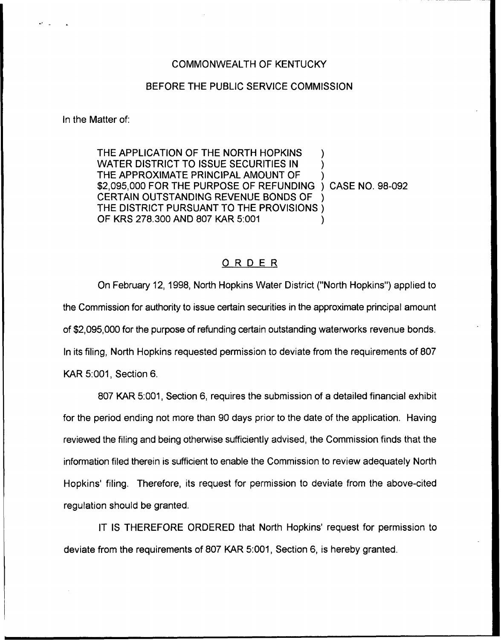## COMMONWEALTH OF KENTUCKY

## BEFORE THE PUBLIC SERVICE COMMISSION

In the Matter of:

THE APPLICATION OF THE NORTH HOPKINS WATER DISTRICT TO ISSUE SECURITIES IN ) THE APPROXIMATE PRINCIPAL AMOUNT OF \$2,095,000 FOR THE PURPOSE OF REFUNDING ) CASE NO. 98-092 CERTAIN OUTSTANDING REVENUE BONDS OF ) THE DISTRICT PURSUANT TO THE PROVISIONS ) OF KRS 278.300 AND 807 KAR 5:001

## ORDER

On February 12, 1998, North Hopkins Water District ("North Hopkins") applied to the Commission for authority to issue certain securities in the approximate principal amount of \$2,095,000 for the purpose of refunding certain outstanding waterworks revenue bonds. In its filing, North Hopkins requested permission to deviate from the requirements of 807 KAR 5:001, Section 6.

807 KAR 5:001, Section 6, requires the submission of a detailed financial exhibit for the period ending not more than 90 days prior to the date of the application. Having reviewed the filing and being otherwise sufficiently advised, the Commission finds that the information filed therein is sufficient to enable the Commission to review adequately North Hopkins' filing. Therefore, its request for permission to deviate from the above-cited regulation should be granted.

IT IS THEREFORE ORDERED that North Hopkins' request for permission to deviate from the requirements of 807 KAR 5:001, Section 6, is hereby granted.